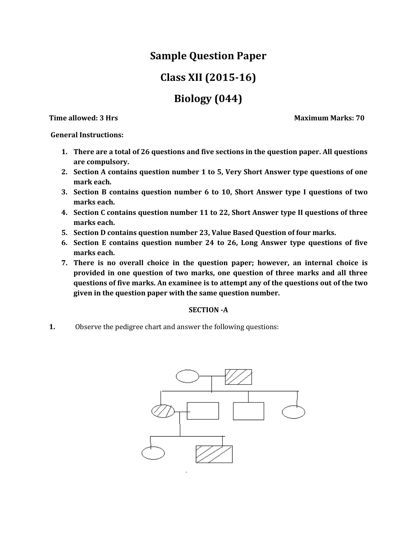## **Sample Question Paper**

# **Class XII (2015-16)**

# **Biology (044)**

**Time allowed: 3 Hrs Maximum Marks: 70** 

**General Instructions:**

- **1. There are a total of 26 questions and five sections in the question paper. All questions are compulsory.**
- **2. Section A contains question number 1 to 5, Very Short Answer type questions of one mark each.**
- **3. Section B contains question number 6 to 10, Short Answer type I questions of two marks each.**
- **4. Section C contains question number 11 to 22, Short Answer type II questions of three marks each.**
- **5. Section D contains question number 23, Value Based Question of four marks.**
- **6. Section E contains question number 24 to 26, Long Answer type questions of five marks each.**
- **7. There is no overall choice in the question paper; however, an internal choice is provided in one question of two marks, one question of three marks and all three questions of five marks. An examinee is to attempt any of the questions out of the two given in the question paper with the same question number.**

## **SECTION -A**

**1.** Observe the pedigree chart and answer the following questions:

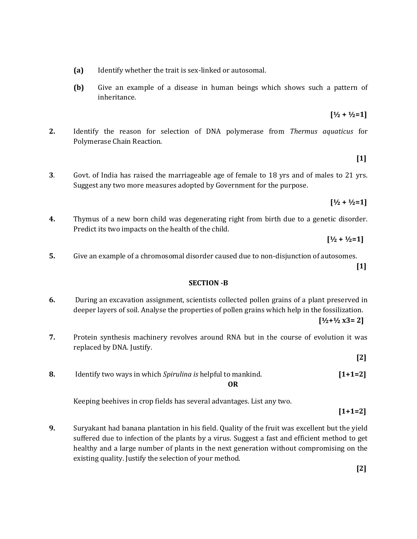- **(a)** Identify whether the trait is sex-linked or autosomal.
- **(b)** Give an example of a disease in human beings which shows such a pattern of inheritance.
- **2.** Identify the reason for selection of DNA polymerase from *Thermus aquaticus* for Polymerase Chain Reaction.
- **3**. Govt. of India has raised the marriageable age of female to 18 yrs and of males to 21 yrs. Suggest any two more measures adopted by Government for the purpose.
- **4.** Thymus of a new born child was degenerating right from birth due to a genetic disorder. Predict its two impacts on the health of the child.
	- $[1/2 + 1/2 = 1]$
- **5.** Give an example of a chromosomal disorder caused due to non-disjunction of autosomes. **[1]**

**SECTION -B**

**6.** During an excavation assignment, scientists collected pollen grains of a plant preserved in deeper layers of soil. Analyse the properties of pollen grains which help in the fossilization.

**[½+½ x3= 2]**

**7.** Protein synthesis machinery revolves around RNA but in the course of evolution it was replaced by DNA. Justify.

**[2]**

**8.** Identify two ways in which *Spirulina is* helpful to mankind. **[1+1=2] OR**

Keeping beehives in crop fields has several advantages. List any two.

**[1+1=2]**

**9.** Suryakant had banana plantation in his field. Quality of the fruit was excellent but the yield suffered due to infection of the plants by a virus. Suggest a fast and efficient method to get healthy and a large number of plants in the next generation without compromising on the existing quality. Justify the selection of your method.

 $[1/2 + 1/2 = 1]$ 

**[½ + ½=1]**

**[1]**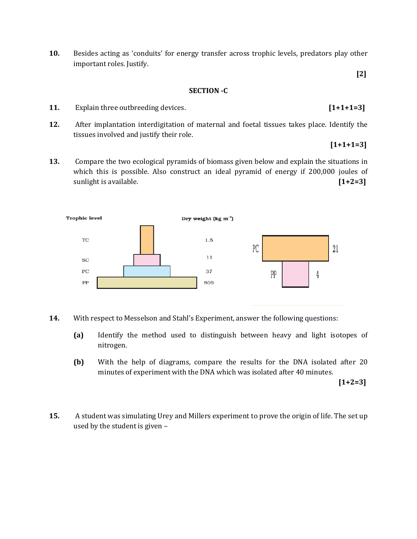**10.** Besides acting as 'conduits' for energy transfer across trophic levels, predators play other important roles. Justify.

#### **SECTION -C**

- **11.** Explain three outbreeding devices. **[1+1+1=3]**
- **12.** After implantation interdigitation of maternal and foetal tissues takes place. Identify the tissues involved and justify their role.
- **13.** Compare the two ecological pyramids of biomass given below and explain the situations in which this is possible. Also construct an ideal pyramid of energy if 200,000 joules of sunlight is available. **[1+2=3]**



- **14.** With respect to Messelson and Stahl's Experiment, answer the following questions:
	- **(a)** Identify the method used to distinguish between heavy and light isotopes of nitrogen.
	- **(b)** With the help of diagrams, compare the results for the DNA isolated after 20 minutes of experiment with the DNA which was isolated after 40 minutes.

**[1+2=3]**

**[2]**

**[1+1+1=3]**

**15.** A student was simulating Urey and Millers experiment to prove the origin of life. The set up used by the student is given –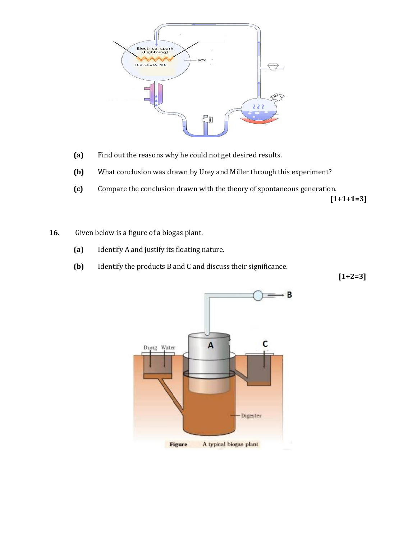

- **(a)** Find out the reasons why he could not get desired results.
- **(b)** What conclusion was drawn by Urey and Miller through this experiment?
- **(c)** Compare the conclusion drawn with the theory of spontaneous generation. **[1+1+1=3]**
- **16.** Given below is a figure of a biogas plant.
	- **(a)** Identify A and justify its floating nature.
	- **(b)** Identify the products B and C and discuss their significance.

**[1+2=3]**

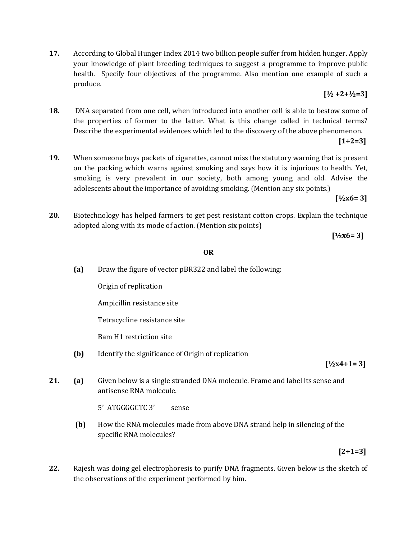**17.** According to Global Hunger Index 2014 two billion people suffer from hidden hunger. Apply your knowledge of plant breeding techniques to suggest a programme to improve public health. Specify four objectives of the programme. Also mention one example of such a produce.

## **[½ +2+½=3]**

**18.** DNA separated from one cell, when introduced into another cell is able to bestow some of the properties of former to the latter. What is this change called in technical terms? Describe the experimental evidences which led to the discovery of the above phenomenon.

## **[1+2=3]**

**19.** When someone buys packets of cigarettes, cannot miss the statutory warning that is present on the packing which warns against smoking and says how it is injurious to health. Yet, smoking is very prevalent in our society, both among young and old. Advise the adolescents about the importance of avoiding smoking. (Mention any six points.)

## **[½x6= 3]**

**20.** Biotechnology has helped farmers to get pest resistant cotton crops. Explain the technique adopted along with its mode of action. (Mention six points)

**[½x6= 3]**

#### **OR**

**(a)** Draw the figure of vector pBR322 and label the following:

Origin of replication

Ampicillin resistance site

Tetracycline resistance site

Bam H1 restriction site

**(b)** Identify the significance of Origin of replication

#### **[½x4+1= 3]**

**21. (a)** Given below is a single stranded DNA molecule. Frame and label its sense and antisense RNA molecule.

5' ATGGGGCTC 3' sense

 **(b)** How the RNA molecules made from above DNA strand help in silencing of the specific RNA molecules?

## **[2+1=3]**

**22.** Rajesh was doing gel electrophoresis to purify DNA fragments. Given below is the sketch of the observations of the experiment performed by him.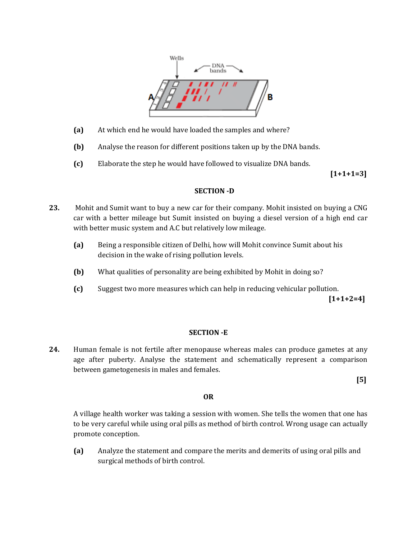

- **(a)** At which end he would have loaded the samples and where?
- **(b)** Analyse the reason for different positions taken up by the DNA bands.
- **(c)** Elaborate the step he would have followed to visualize DNA bands.

**[1+1+1=3]**

#### **SECTION -D**

- **23.** Mohit and Sumit want to buy a new car for their company. Mohit insisted on buying a CNG car with a better mileage but Sumit insisted on buying a diesel version of a high end car with better music system and A.C but relatively low mileage.
	- **(a)** Being a responsible citizen of Delhi, how will Mohit convince Sumit about his decision in the wake of rising pollution levels.
	- **(b)** What qualities of personality are being exhibited by Mohit in doing so?
	- **(c)** Suggest two more measures which can help in reducing vehicular pollution.

**[1+1+2=4]**

#### **SECTION -E**

**24.** Human female is not fertile after menopause whereas males can produce gametes at any age after puberty. Analyse the statement and schematically represent a comparison between gametogenesis in males and females.

**[5]**

#### **OR**

A village health worker was taking a session with women. She tells the women that one has to be very careful while using oral pills as method of birth control. Wrong usage can actually promote conception.

**(a)** Analyze the statement and compare the merits and demerits of using oral pills and surgical methods of birth control.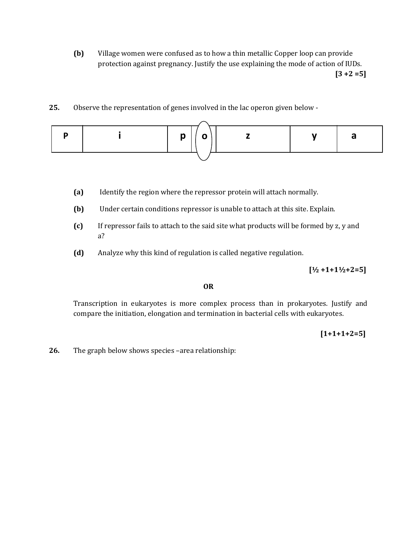**(b)** Village women were confused as to how a thin metallic Copper loop can provide protection against pregnancy. Justify the use explaining the mode of action of IUDs. **[3 +2 =5]**

## **25.** Observe the representation of genes involved in the lac operon given below -

|  |  | $p \mid$ |  |  |  |  |
|--|--|----------|--|--|--|--|
|  |  |          |  |  |  |  |

- **(a)** Identify the region where the repressor protein will attach normally.
- **(b)** Under certain conditions repressor is unable to attach at this site. Explain.
- **(c)** If repressor fails to attach to the said site what products will be formed by z, y and a?
- **(d)** Analyze why this kind of regulation is called negative regulation.

### **[½ +1+1½+2=5]**

#### **OR**

Transcription in eukaryotes is more complex process than in prokaryotes. Justify and compare the initiation, elongation and termination in bacterial cells with eukaryotes.

## **[1+1+1+2=5]**

**26.** The graph below shows species –area relationship: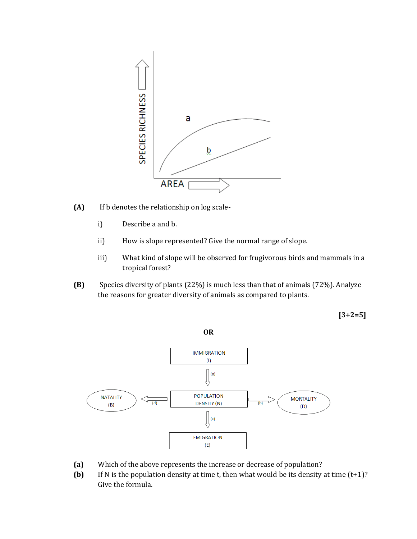

- **(A)** If b denotes the relationship on log scale
	- i) Describe a and b.
	- ii) How is slope represented? Give the normal range of slope.
	- iii) What kind of slope will be observed for frugivorous birds and mammals in a tropical forest?
- **(B)** Species diversity of plants (22%) is much less than that of animals (72%). Analyze the reasons for greater diversity of animals as compared to plants.

**[3+2=5]**



- **(a)** Which of the above represents the increase or decrease of population?
- **(b)** If N is the population density at time t, then what would be its density at time (t+1)? Give the formula.